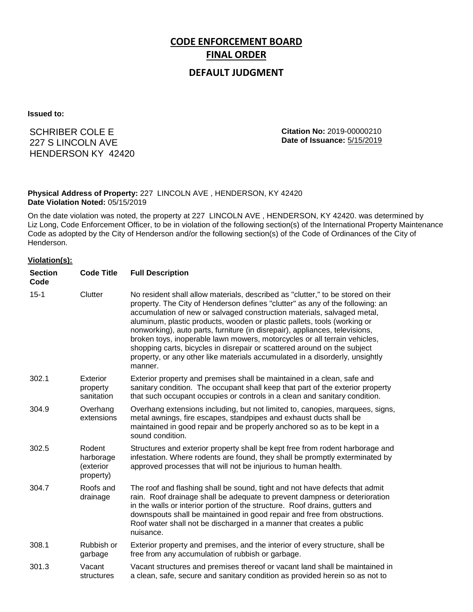# **CODE ENFORCEMENT BOARD FINAL ORDER**

## **DEFAULT JUDGMENT**

**Issued to:**

SCHRIBER COLE E 227 S LINCOLN AVE HENDERSON KY 42420 **Citation No:** 2019-00000210 **Date of Issuance:** 5/15/2019

#### **Physical Address of Property:** 227 LINCOLN AVE , HENDERSON, KY 42420 **Date Violation Noted:** 05/15/2019

On the date violation was noted, the property at 227 LINCOLN AVE , HENDERSON, KY 42420. was determined by Liz Long, Code Enforcement Officer, to be in violation of the following section(s) of the International Property Maintenance Code as adopted by the City of Henderson and/or the following section(s) of the Code of Ordinances of the City of Henderson.

#### **Violation(s):**

| <b>Section</b><br>Code | <b>Code Title</b>                             | <b>Full Description</b>                                                                                                                                                                                                                                                                                                                                                                                                                                                                                                                                                                                                                                     |
|------------------------|-----------------------------------------------|-------------------------------------------------------------------------------------------------------------------------------------------------------------------------------------------------------------------------------------------------------------------------------------------------------------------------------------------------------------------------------------------------------------------------------------------------------------------------------------------------------------------------------------------------------------------------------------------------------------------------------------------------------------|
| $15 - 1$               | Clutter                                       | No resident shall allow materials, described as "clutter," to be stored on their<br>property. The City of Henderson defines "clutter" as any of the following: an<br>accumulation of new or salvaged construction materials, salvaged metal,<br>aluminum, plastic products, wooden or plastic pallets, tools (working or<br>nonworking), auto parts, furniture (in disrepair), appliances, televisions,<br>broken toys, inoperable lawn mowers, motorcycles or all terrain vehicles,<br>shopping carts, bicycles in disrepair or scattered around on the subject<br>property, or any other like materials accumulated in a disorderly, unsightly<br>manner. |
| 302.1                  | Exterior<br>property<br>sanitation            | Exterior property and premises shall be maintained in a clean, safe and<br>sanitary condition. The occupant shall keep that part of the exterior property<br>that such occupant occupies or controls in a clean and sanitary condition.                                                                                                                                                                                                                                                                                                                                                                                                                     |
| 304.9                  | Overhang<br>extensions                        | Overhang extensions including, but not limited to, canopies, marquees, signs,<br>metal awnings, fire escapes, standpipes and exhaust ducts shall be<br>maintained in good repair and be properly anchored so as to be kept in a<br>sound condition.                                                                                                                                                                                                                                                                                                                                                                                                         |
| 302.5                  | Rodent<br>harborage<br>(exterior<br>property) | Structures and exterior property shall be kept free from rodent harborage and<br>infestation. Where rodents are found, they shall be promptly exterminated by<br>approved processes that will not be injurious to human health.                                                                                                                                                                                                                                                                                                                                                                                                                             |
| 304.7                  | Roofs and<br>drainage                         | The roof and flashing shall be sound, tight and not have defects that admit<br>rain. Roof drainage shall be adequate to prevent dampness or deterioration<br>in the walls or interior portion of the structure. Roof drains, gutters and<br>downspouts shall be maintained in good repair and free from obstructions.<br>Roof water shall not be discharged in a manner that creates a public<br>nuisance.                                                                                                                                                                                                                                                  |
| 308.1                  | Rubbish or<br>garbage                         | Exterior property and premises, and the interior of every structure, shall be<br>free from any accumulation of rubbish or garbage.                                                                                                                                                                                                                                                                                                                                                                                                                                                                                                                          |
| 301.3                  | Vacant<br>structures                          | Vacant structures and premises thereof or vacant land shall be maintained in<br>a clean, safe, secure and sanitary condition as provided herein so as not to                                                                                                                                                                                                                                                                                                                                                                                                                                                                                                |